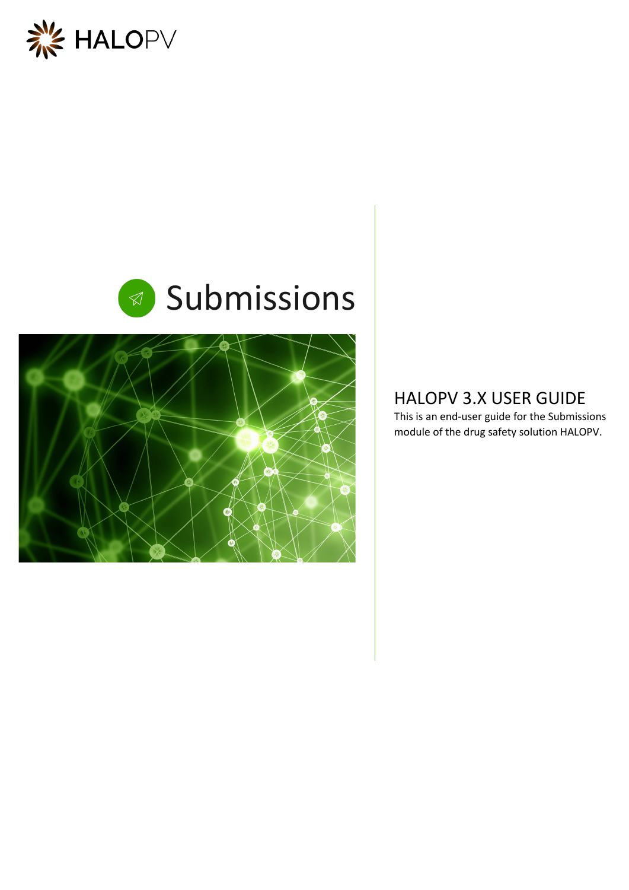



# Submissions



### HALOPV 3.X USER GUIDE

This is an end-user guide for the Submissions module of the drug safety solution HALOPV.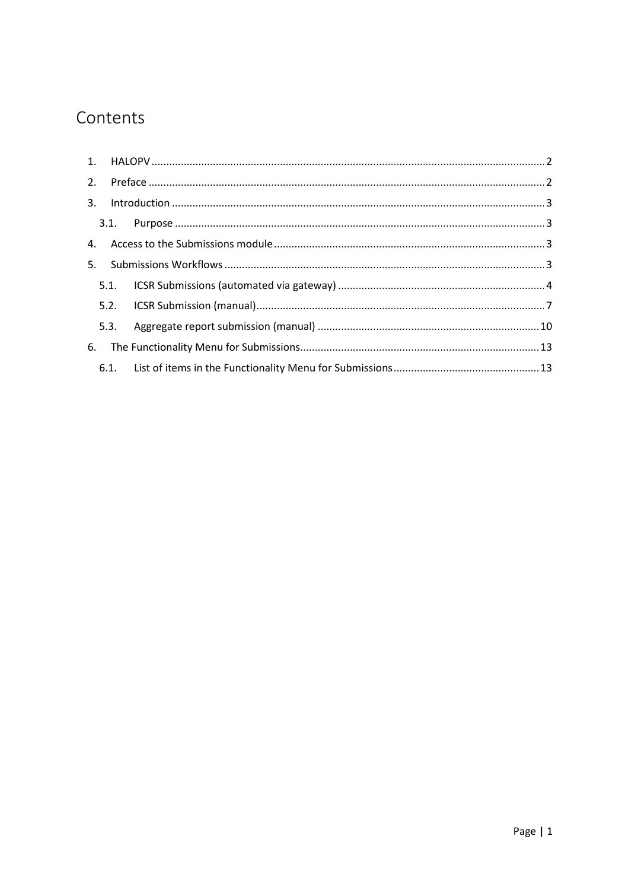## Contents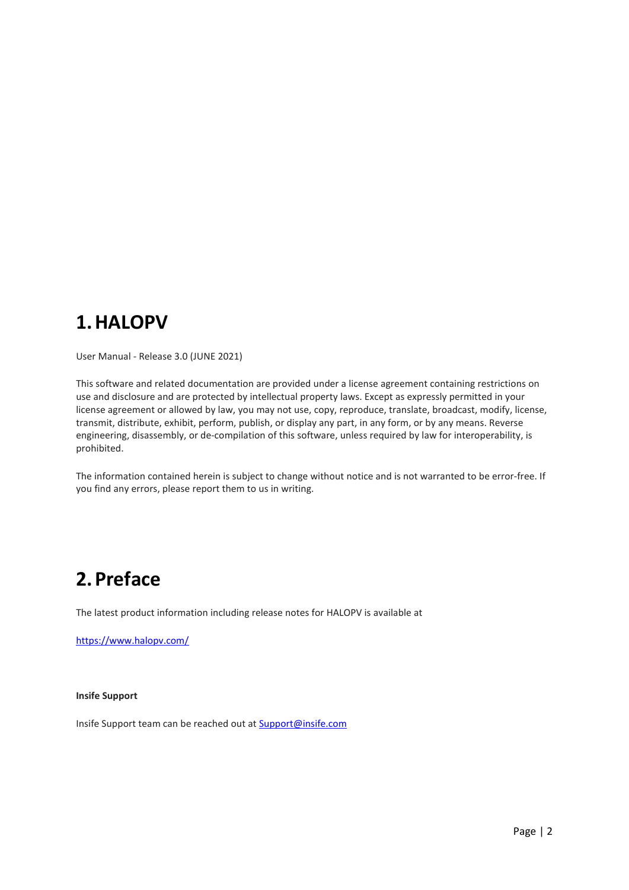# <span id="page-2-0"></span>**1.HALOPV**

User Manual - Release 3.0 (JUNE 2021)

This software and related documentation are provided under a license agreement containing restrictions on use and disclosure and are protected by intellectual property laws. Except as expressly permitted in your license agreement or allowed by law, you may not use, copy, reproduce, translate, broadcast, modify, license, transmit, distribute, exhibit, perform, publish, or display any part, in any form, or by any means. Reverse engineering, disassembly, or de-compilation of this software, unless required by law for interoperability, is prohibited.

The information contained herein is subject to change without notice and is not warranted to be error-free. If you find any errors, please report them to us in writing.

# <span id="page-2-1"></span>**2.Preface**

The latest product information including release notes for HALOPV is available at

<https://www.halopv.com/>

#### **Insife Support**

Insife Support team can be reached out at [Support@insife.com](mailto:Support@insife.com)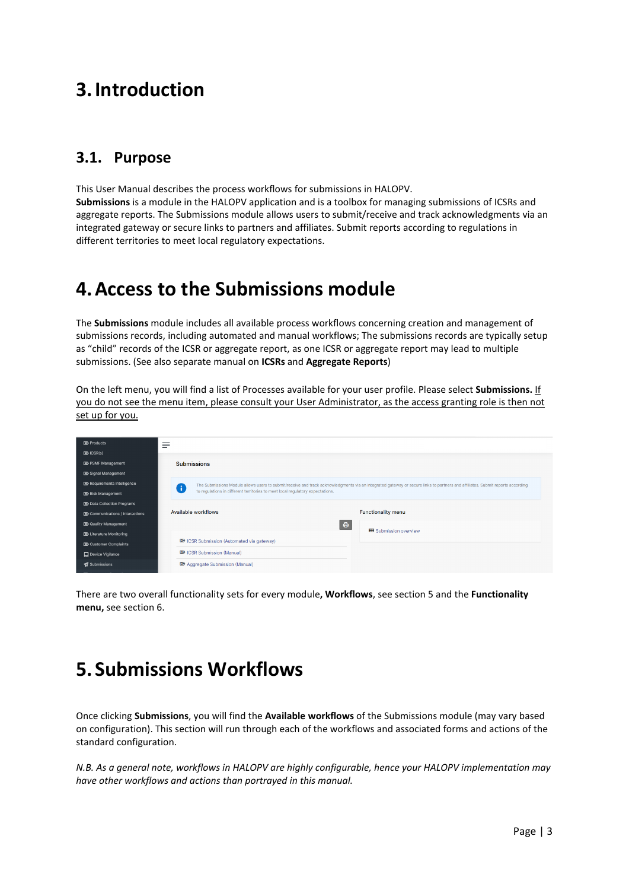# <span id="page-3-0"></span>**3.Introduction**

### <span id="page-3-1"></span>**3.1. Purpose**

This User Manual describes the process workflows for submissions in HALOPV. **Submissions** is a module in the HALOPV application and is a toolbox for managing submissions of ICSRs and aggregate reports. The Submissions module allows users to submit/receive and track acknowledgments via an integrated gateway or secure links to partners and affiliates. Submit reports according to regulations in different territories to meet local regulatory expectations.

### <span id="page-3-2"></span>**4.Access to the Submissions module**

The **Submissions** module includes all available process workflows concerning creation and management of submissions records, including automated and manual workflows; The submissions records are typically setup as "child" records of the ICSR or aggregate report, as one ICSR or aggregate report may lead to multiple submissions. (See also separate manual on **ICSRs** and **Aggregate Reports**)

On the left menu, you will find a list of Processes available for your user profile. Please select **Submissions.** If you do not see the menu item, please consult your User Administrator, as the access granting role is then not set up for you.

| $D\!\!\!\!\!\Sigma$ Products            |                                                                                                                                                                                     |
|-----------------------------------------|-------------------------------------------------------------------------------------------------------------------------------------------------------------------------------------|
| $D\!\!\!\!\!\Sigma$ ICSR(s)             |                                                                                                                                                                                     |
| <b>D</b> > PSMF Management              | <b>Submissions</b>                                                                                                                                                                  |
| <b>DD</b> Signal Management             |                                                                                                                                                                                     |
| <b>D</b> Requirements Intelligence      | The Submissions Module allows users to submit/receive and track acknowledgments via an integrated gateway or secure links to partners and affiliates. Submit reports according<br>Ŧ |
| <b>D</b> >> Risk Management             | to regulations in different territories to meet local regulatory expectations.                                                                                                      |
| <b>DO</b> Data Collection Programs      |                                                                                                                                                                                     |
| <b>DO</b> Communications / Interactions | Available workflows<br><b>Functionality menu</b>                                                                                                                                    |
| <b>D</b> Quality Management             | $\oplus$                                                                                                                                                                            |
| <b>DD</b> Literature Monitoring         | <b>EB</b> Submission overview                                                                                                                                                       |
| <b>D</b> Customer Complaints            | <b>DO</b> ICSR Submission (Automated via gateway)                                                                                                                                   |
| Device Vigilance                        | <b>D</b> ICSR Submission (Manual)                                                                                                                                                   |
| Submissions                             | <b>DO</b> Aggregate Submission (Manual)                                                                                                                                             |

There are two overall functionality sets for every module**, Workflows**, see section [5](#page-3-3) and the **Functionality menu,** see section [6.](#page-13-0) 

# <span id="page-3-3"></span>**5. Submissions Workflows**

Once clicking **Submissions**, you will find the **Available workflows** of the Submissions module (may vary based on configuration). This section will run through each of the workflows and associated forms and actions of the standard configuration.

*N.B. As a general note, workflows in HALOPV are highly configurable, hence your HALOPV implementation may have other workflows and actions than portrayed in this manual.*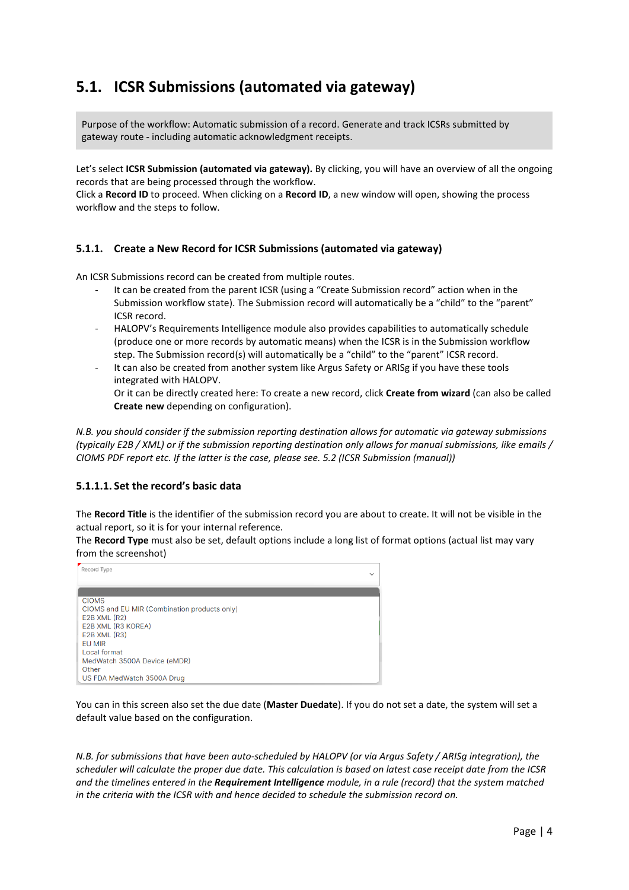### <span id="page-4-0"></span>**5.1. ICSR Submissions (automated via gateway)**

Purpose of the workflow: Automatic submission of a record. Generate and track ICSRs submitted by gateway route - including automatic acknowledgment receipts.

Let's select **ICSR Submission (automated via gateway).** By clicking, you will have an overview of all the ongoing records that are being processed through the workflow.

Click a **Record ID** to proceed. When clicking on a **Record ID**, a new window will open, showing the process workflow and the steps to follow.

#### **5.1.1. Create a New Record for ICSR Submissions (automated via gateway)**

An ICSR Submissions record can be created from multiple routes.

- It can be created from the parent ICSR (using a "Create Submission record" action when in the Submission workflow state). The Submission record will automatically be a "child" to the "parent" ICSR record.
- HALOPV's Requirements Intelligence module also provides capabilities to automatically schedule (produce one or more records by automatic means) when the ICSR is in the Submission workflow step. The Submission record(s) will automatically be a "child" to the "parent" ICSR record.
- It can also be created from another system like Argus Safety or ARISg if you have these tools integrated with HALOPV.

Or it can be directly created here: To create a new record, click **Create from wizard** (can also be called **Create new** depending on configuration).

*N.B. you should consider if the submission reporting destination allows for automatic via gateway submissions (typically E2B / XML) or if the submission reporting destination only allows for manual submissions, like emails / CIOMS PDF report etc. If the latter is the case, please see[. 5.2](#page-7-0) (ICSR Submission (manual))*

#### **5.1.1.1. Set the record's basic data**

The **Record Title** is the identifier of the submission record you are about to create. It will not be visible in the actual report, so it is for your internal reference.

The **Record Type** must also be set, default options include a long list of format options (actual list may vary from the screenshot)

| Record Type<br>$\checkmark$                  |  |
|----------------------------------------------|--|
|                                              |  |
| <b>CIOMS</b>                                 |  |
| CIOMS and EU MIR (Combination products only) |  |
| $E2B$ XML $(R2)$                             |  |
| E2B XML (R3 KOREA)                           |  |
| $E2B$ XML $(R3)$                             |  |
| EU MIR                                       |  |
| Local format                                 |  |
| MedWatch 3500A Device (eMDR)                 |  |
| Other                                        |  |
| US FDA MedWatch 3500A Drug                   |  |

You can in this screen also set the due date (**Master Duedate**). If you do not set a date, the system will set a default value based on the configuration.

*N.B. for submissions that have been auto-scheduled by HALOPV (or via Argus Safety / ARISg integration), the scheduler will calculate the proper due date. This calculation is based on latest case receipt date from the ICSR and the timelines entered in the Requirement Intelligence module, in a rule (record) that the system matched in the criteria with the ICSR with and hence decided to schedule the submission record on.*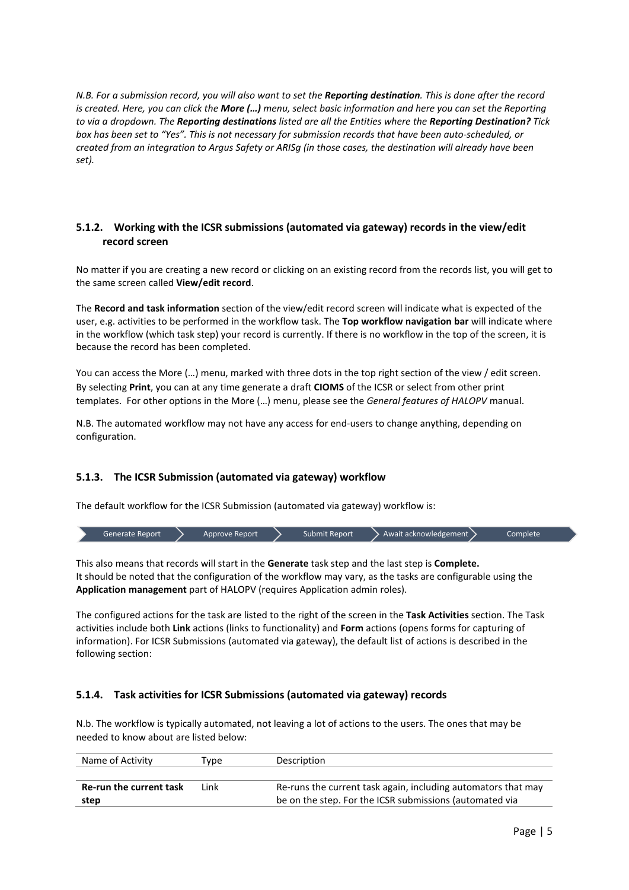*N.B. For a submission record, you will also want to set the Reporting destination. This is done after the record is created. Here, you can click the More (…) menu, select basic information and here you can set the Reporting to via a dropdown. The Reporting destinations listed are all the Entities where the Reporting Destination? Tick box has been set to "Yes". This is not necessary for submission records that have been auto-scheduled, or created from an integration to Argus Safety or ARISg (in those cases, the destination will already have been set).*

#### **5.1.2. Working with the ICSR submissions (automated via gateway) records in the view/edit record screen**

No matter if you are creating a new record or clicking on an existing record from the records list, you will get to the same screen called **View/edit record**.

The **Record and task information** section of the view/edit record screen will indicate what is expected of the user, e.g. activities to be performed in the workflow task. The **Top workflow navigation bar** will indicate where in the workflow (which task step) your record is currently. If there is no workflow in the top of the screen, it is because the record has been completed.

You can access the More (…) menu, marked with three dots in the top right section of the view / edit screen. By selecting **Print**, you can at any time generate a draft **CIOMS** of the ICSR or select from other print templates. For other options in the More (…) menu, please see the *General features of HALOPV* manual.

N.B. The automated workflow may not have any access for end-users to change anything, depending on configuration.

#### **5.1.3. The ICSR Submission (automated via gateway) workflow**

The default workflow for the ICSR Submission (automated via gateway) workflow is:



This also means that records will start in the **Generate** task step and the last step is **Complete.** It should be noted that the configuration of the workflow may vary, as the tasks are configurable using the **Application management** part of HALOPV (requires Application admin roles).

The configured actions for the task are listed to the right of the screen in the **Task Activities** section. The Task activities include both **Link** actions (links to functionality) and **Form** actions (opens forms for capturing of information). For ICSR Submissions (automated via gateway), the default list of actions is described in the following section:

#### **5.1.4. Task activities for ICSR Submissions (automated via gateway) records**

N.b. The workflow is typically automated, not leaving a lot of actions to the users. The ones that may be needed to know about are listed below:

| Name of Activity        | Type | Description                                                   |
|-------------------------|------|---------------------------------------------------------------|
|                         |      |                                                               |
| Re-run the current task | Link | Re-runs the current task again, including automators that may |
| <u>step</u>             |      | be on the step. For the ICSR submissions (automated via       |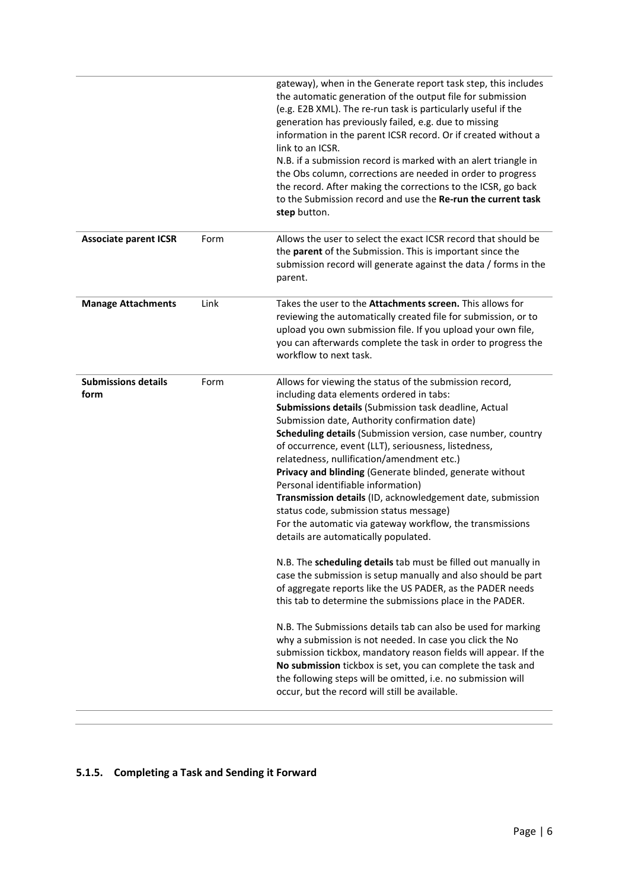|      | gateway), when in the Generate report task step, this includes<br>the automatic generation of the output file for submission<br>(e.g. E2B XML). The re-run task is particularly useful if the                                                                                                                                                                                                                                                                                                                                                                                                                                                                                                                                                                                                                                                                                                                                                                                                                                                                                                                                                                                                                                                                                                                                                      |
|------|----------------------------------------------------------------------------------------------------------------------------------------------------------------------------------------------------------------------------------------------------------------------------------------------------------------------------------------------------------------------------------------------------------------------------------------------------------------------------------------------------------------------------------------------------------------------------------------------------------------------------------------------------------------------------------------------------------------------------------------------------------------------------------------------------------------------------------------------------------------------------------------------------------------------------------------------------------------------------------------------------------------------------------------------------------------------------------------------------------------------------------------------------------------------------------------------------------------------------------------------------------------------------------------------------------------------------------------------------|
|      | generation has previously failed, e.g. due to missing<br>information in the parent ICSR record. Or if created without a<br>link to an ICSR.                                                                                                                                                                                                                                                                                                                                                                                                                                                                                                                                                                                                                                                                                                                                                                                                                                                                                                                                                                                                                                                                                                                                                                                                        |
|      | N.B. if a submission record is marked with an alert triangle in<br>the Obs column, corrections are needed in order to progress<br>the record. After making the corrections to the ICSR, go back<br>to the Submission record and use the Re-run the current task<br>step button.                                                                                                                                                                                                                                                                                                                                                                                                                                                                                                                                                                                                                                                                                                                                                                                                                                                                                                                                                                                                                                                                    |
| Form | Allows the user to select the exact ICSR record that should be<br>the parent of the Submission. This is important since the<br>submission record will generate against the data / forms in the<br>parent.                                                                                                                                                                                                                                                                                                                                                                                                                                                                                                                                                                                                                                                                                                                                                                                                                                                                                                                                                                                                                                                                                                                                          |
| Link | Takes the user to the Attachments screen. This allows for<br>reviewing the automatically created file for submission, or to<br>upload you own submission file. If you upload your own file,<br>you can afterwards complete the task in order to progress the<br>workflow to next task.                                                                                                                                                                                                                                                                                                                                                                                                                                                                                                                                                                                                                                                                                                                                                                                                                                                                                                                                                                                                                                                             |
| Form | Allows for viewing the status of the submission record,<br>including data elements ordered in tabs:<br>Submissions details (Submission task deadline, Actual<br>Submission date, Authority confirmation date)<br>Scheduling details (Submission version, case number, country<br>of occurrence, event (LLT), seriousness, listedness,<br>relatedness, nullification/amendment etc.)<br>Privacy and blinding (Generate blinded, generate without<br>Personal identifiable information)<br>Transmission details (ID, acknowledgement date, submission<br>status code, submission status message)<br>For the automatic via gateway workflow, the transmissions<br>details are automatically populated.<br>N.B. The scheduling details tab must be filled out manually in<br>case the submission is setup manually and also should be part<br>of aggregate reports like the US PADER, as the PADER needs<br>this tab to determine the submissions place in the PADER.<br>N.B. The Submissions details tab can also be used for marking<br>why a submission is not needed. In case you click the No<br>submission tickbox, mandatory reason fields will appear. If the<br>No submission tickbox is set, you can complete the task and<br>the following steps will be omitted, i.e. no submission will<br>occur, but the record will still be available. |
|      |                                                                                                                                                                                                                                                                                                                                                                                                                                                                                                                                                                                                                                                                                                                                                                                                                                                                                                                                                                                                                                                                                                                                                                                                                                                                                                                                                    |

### **5.1.5. Completing a Task and Sending it Forward**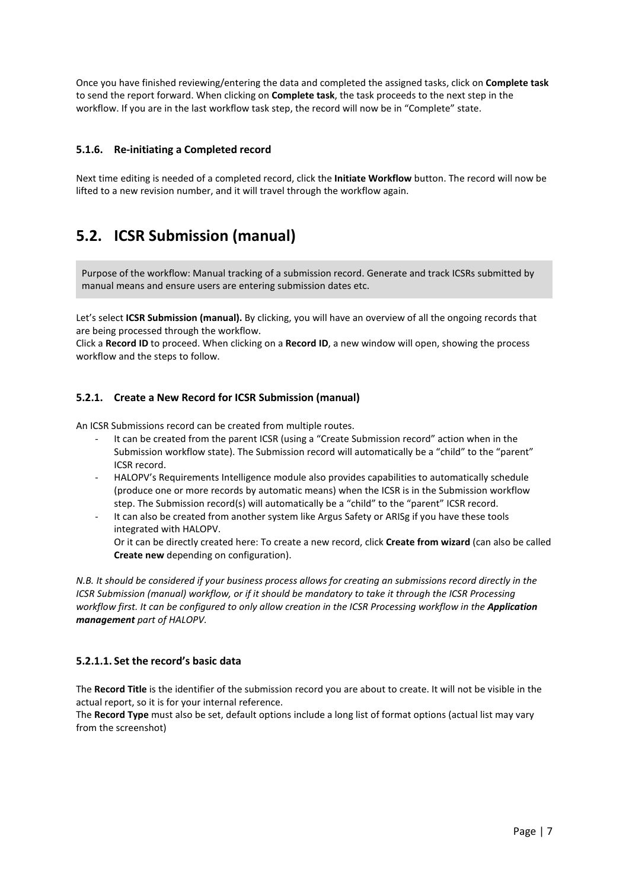Once you have finished reviewing/entering the data and completed the assigned tasks, click on **Complete task** to send the report forward. When clicking on **Complete task**, the task proceeds to the next step in the workflow. If you are in the last workflow task step, the record will now be in "Complete" state.

#### **5.1.6. Re-initiating a Completed record**

Next time editing is needed of a completed record, click the **Initiate Workflow** button. The record will now be lifted to a new revision number, and it will travel through the workflow again.

### <span id="page-7-0"></span>**5.2. ICSR Submission (manual)**

Purpose of the workflow: Manual tracking of a submission record. Generate and track ICSRs submitted by manual means and ensure users are entering submission dates etc.

Let's select **ICSR Submission (manual).** By clicking, you will have an overview of all the ongoing records that are being processed through the workflow.

Click a **Record ID** to proceed. When clicking on a **Record ID**, a new window will open, showing the process workflow and the steps to follow.

#### **5.2.1. Create a New Record for ICSR Submission (manual)**

An ICSR Submissions record can be created from multiple routes.

- It can be created from the parent ICSR (using a "Create Submission record" action when in the Submission workflow state). The Submission record will automatically be a "child" to the "parent" ICSR record.
- HALOPV's Requirements Intelligence module also provides capabilities to automatically schedule (produce one or more records by automatic means) when the ICSR is in the Submission workflow step. The Submission record(s) will automatically be a "child" to the "parent" ICSR record.
- It can also be created from another system like Argus Safety or ARISg if you have these tools integrated with HALOPV. Or it can be directly created here: To create a new record, click **Create from wizard** (can also be called

**Create new** depending on configuration).

*N.B. It should be considered if your business process allows for creating an submissions record directly in the ICSR Submission (manual) workflow, or if it should be mandatory to take it through the ICSR Processing workflow first. It can be configured to only allow creation in the ICSR Processing workflow in the Application management part of HALOPV.*

#### **5.2.1.1. Set the record's basic data**

The **Record Title** is the identifier of the submission record you are about to create. It will not be visible in the actual report, so it is for your internal reference.

The **Record Type** must also be set, default options include a long list of format options (actual list may vary from the screenshot)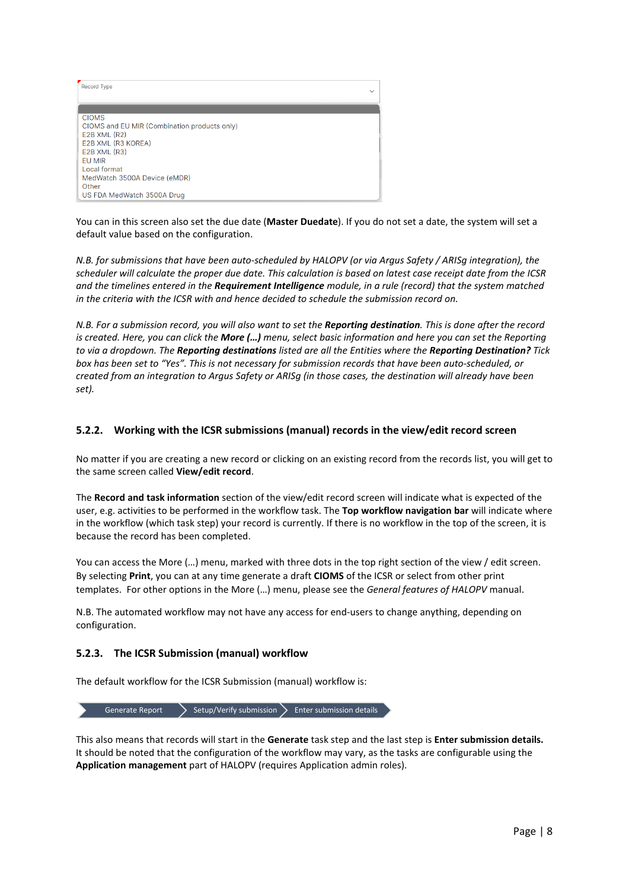| Record Type                                                                                                                                                                                                                    | $\checkmark$ |
|--------------------------------------------------------------------------------------------------------------------------------------------------------------------------------------------------------------------------------|--------------|
| <b>CIOMS</b><br>CIOMS and EU MIR (Combination products only)<br>$E2B$ XML $(R2)$<br>E2B XML (R3 KOREA)<br>E2B XML (R3)<br><b>EU MIR</b><br>Local format<br>MedWatch 3500A Device (eMDR)<br>Other<br>US FDA MedWatch 3500A Drug |              |

You can in this screen also set the due date (**Master Duedate**). If you do not set a date, the system will set a default value based on the configuration.

*N.B. for submissions that have been auto-scheduled by HALOPV (or via Argus Safety / ARISg integration), the scheduler will calculate the proper due date. This calculation is based on latest case receipt date from the ICSR and the timelines entered in the Requirement Intelligence module, in a rule (record) that the system matched in the criteria with the ICSR with and hence decided to schedule the submission record on.*

*N.B. For a submission record, you will also want to set the Reporting destination. This is done after the record is created. Here, you can click the More (…) menu, select basic information and here you can set the Reporting to via a dropdown. The Reporting destinations listed are all the Entities where the Reporting Destination? Tick box has been set to "Yes". This is not necessary for submission records that have been auto-scheduled, or created from an integration to Argus Safety or ARISg (in those cases, the destination will already have been set).*

#### **5.2.2. Working with the ICSR submissions (manual) records in the view/edit record screen**

No matter if you are creating a new record or clicking on an existing record from the records list, you will get to the same screen called **View/edit record**.

The **Record and task information** section of the view/edit record screen will indicate what is expected of the user, e.g. activities to be performed in the workflow task. The **Top workflow navigation bar** will indicate where in the workflow (which task step) your record is currently. If there is no workflow in the top of the screen, it is because the record has been completed.

You can access the More (…) menu, marked with three dots in the top right section of the view / edit screen. By selecting **Print**, you can at any time generate a draft **CIOMS** of the ICSR or select from other print templates. For other options in the More (…) menu, please see the *General features of HALOPV* manual.

N.B. The automated workflow may not have any access for end-users to change anything, depending on configuration.

#### **5.2.3. The ICSR Submission (manual) workflow**

The default workflow for the ICSR Submission (manual) workflow is:

Generate Report  $\sum$  Setup/Verify submission  $\sum$  Enter submission details

This also means that records will start in the **Generate** task step and the last step is **Enter submission details.** It should be noted that the configuration of the workflow may vary, as the tasks are configurable using the **Application management** part of HALOPV (requires Application admin roles).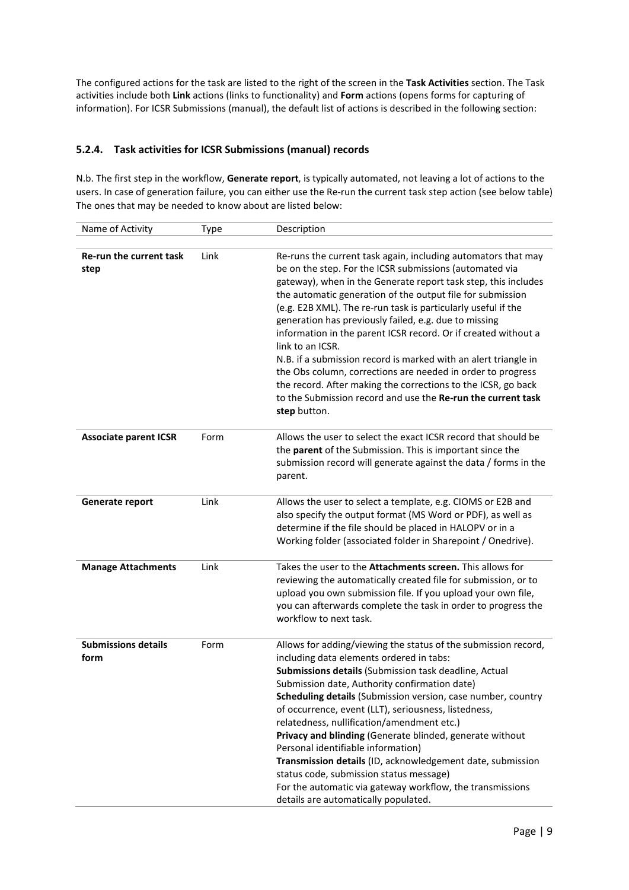The configured actions for the task are listed to the right of the screen in the **Task Activities** section. The Task activities include both **Link** actions (links to functionality) and **Form** actions (opens forms for capturing of information). For ICSR Submissions (manual), the default list of actions is described in the following section:

#### **5.2.4. Task activities for ICSR Submissions (manual) records**

N.b. The first step in the workflow, **Generate report**, is typically automated, not leaving a lot of actions to the users. In case of generation failure, you can either use the Re-run the current task step action (see below table) The ones that may be needed to know about are listed below:

| Name of Activity                   | Type | Description                                                                                                                                                                                                                                                                                                                                                                                                                                                                                                                                                                                                                                                                                                                                                 |
|------------------------------------|------|-------------------------------------------------------------------------------------------------------------------------------------------------------------------------------------------------------------------------------------------------------------------------------------------------------------------------------------------------------------------------------------------------------------------------------------------------------------------------------------------------------------------------------------------------------------------------------------------------------------------------------------------------------------------------------------------------------------------------------------------------------------|
|                                    |      |                                                                                                                                                                                                                                                                                                                                                                                                                                                                                                                                                                                                                                                                                                                                                             |
| Re-run the current task<br>step    | Link | Re-runs the current task again, including automators that may<br>be on the step. For the ICSR submissions (automated via<br>gateway), when in the Generate report task step, this includes<br>the automatic generation of the output file for submission<br>(e.g. E2B XML). The re-run task is particularly useful if the<br>generation has previously failed, e.g. due to missing<br>information in the parent ICSR record. Or if created without a<br>link to an ICSR.<br>N.B. if a submission record is marked with an alert triangle in<br>the Obs column, corrections are needed in order to progress<br>the record. After making the corrections to the ICSR, go back<br>to the Submission record and use the Re-run the current task<br>step button. |
| <b>Associate parent ICSR</b>       | Form | Allows the user to select the exact ICSR record that should be<br>the parent of the Submission. This is important since the<br>submission record will generate against the data / forms in the<br>parent.                                                                                                                                                                                                                                                                                                                                                                                                                                                                                                                                                   |
| Generate report                    | Link | Allows the user to select a template, e.g. CIOMS or E2B and<br>also specify the output format (MS Word or PDF), as well as<br>determine if the file should be placed in HALOPV or in a<br>Working folder (associated folder in Sharepoint / Onedrive).                                                                                                                                                                                                                                                                                                                                                                                                                                                                                                      |
| <b>Manage Attachments</b>          | Link | Takes the user to the Attachments screen. This allows for<br>reviewing the automatically created file for submission, or to<br>upload you own submission file. If you upload your own file,<br>you can afterwards complete the task in order to progress the<br>workflow to next task.                                                                                                                                                                                                                                                                                                                                                                                                                                                                      |
| <b>Submissions details</b><br>form | Form | Allows for adding/viewing the status of the submission record,<br>including data elements ordered in tabs:<br>Submissions details (Submission task deadline, Actual<br>Submission date, Authority confirmation date)<br>Scheduling details (Submission version, case number, country<br>of occurrence, event (LLT), seriousness, listedness,<br>relatedness, nullification/amendment etc.)<br>Privacy and blinding (Generate blinded, generate without<br>Personal identifiable information)<br>Transmission details (ID, acknowledgement date, submission<br>status code, submission status message)<br>For the automatic via gateway workflow, the transmissions<br>details are automatically populated.                                                  |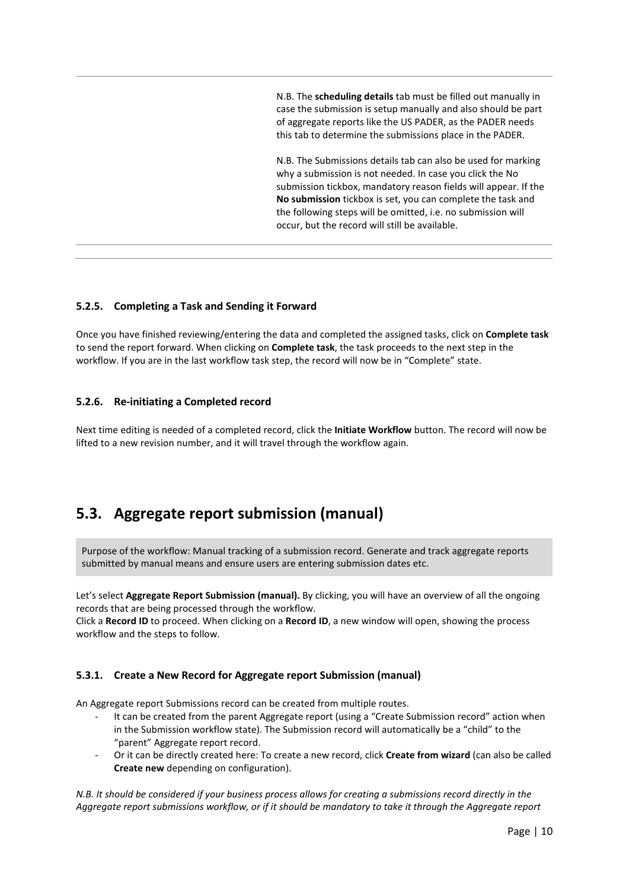N.B. The **scheduling details** tab must be filled out manually in case the submission is setup manually and also should be part of aggregate reports like the US PADER, as the PADER needs this tab to determine the submissions place in the PADER.

N.B. The Submissions details tab can also be used for marking why a submission is not needed. In case you click the No submission tickbox, mandatory reason fields will appear. If the **No submission** tickbox is set, you can complete the task and the following steps will be omitted, i.e. no submission will occur, but the record will still be available.

#### **5.2.5. Completing a Task and Sending it Forward**

Once you have finished reviewing/entering the data and completed the assigned tasks, click on **Complete task** to send the report forward. When clicking on **Complete task**, the task proceeds to the next step in the workflow. If you are in the last workflow task step, the record will now be in "Complete" state.

#### **5.2.6. Re-initiating a Completed record**

Next time editing is needed of a completed record, click the **Initiate Workflow** button. The record will now be lifted to a new revision number, and it will travel through the workflow again.

### <span id="page-10-0"></span>**5.3. Aggregate report submission (manual)**

Purpose of the workflow: Manual tracking of a submission record. Generate and track aggregate reports submitted by manual means and ensure users are entering submission dates etc.

Let's select **Aggregate Report Submission (manual).** By clicking, you will have an overview of all the ongoing records that are being processed through the workflow.

Click a **Record ID** to proceed. When clicking on a **Record ID**, a new window will open, showing the process workflow and the steps to follow.

#### **5.3.1. Create a New Record for Aggregate report Submission (manual)**

An Aggregate report Submissions record can be created from multiple routes.

- It can be created from the parent Aggregate report (using a "Create Submission record" action when in the Submission workflow state). The Submission record will automatically be a "child" to the "parent" Aggregate report record.
- Or it can be directly created here: To create a new record, click **Create from wizard** (can also be called **Create new** depending on configuration).

*N.B. It should be considered if your business process allows for creating a submissions record directly in the Aggregate report submissions workflow, or if it should be mandatory to take it through the Aggregate report*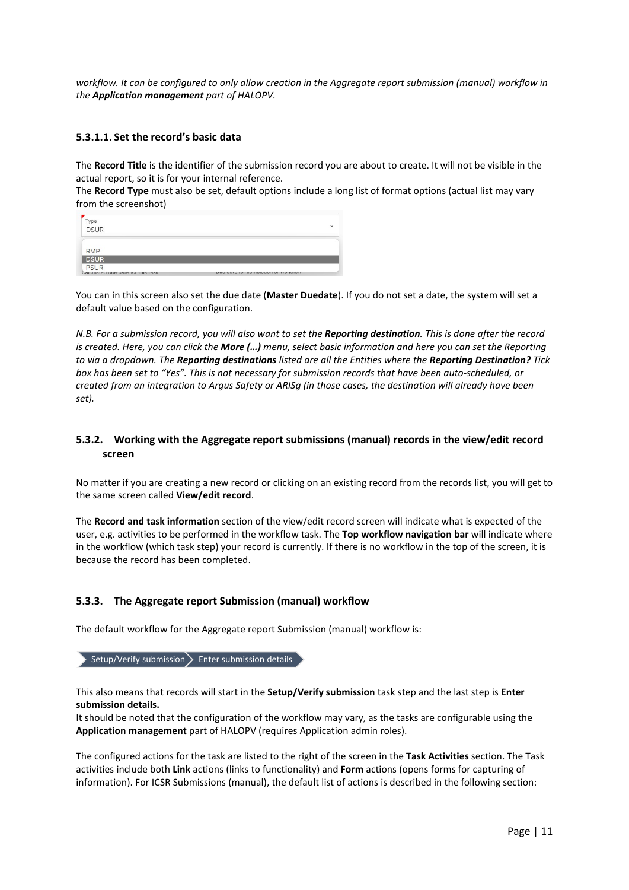*workflow. It can be configured to only allow creation in the Aggregate report submission (manual) workflow in the Application management part of HALOPV.*

#### **5.3.1.1. Set the record's basic data**

The **Record Title** is the identifier of the submission record you are about to create. It will not be visible in the actual report, so it is for your internal reference.

The **Record Type** must also be set, default options include a long list of format options (actual list may vary from the screenshot)

| Type<br>DSUR                                     |                                            |  |
|--------------------------------------------------|--------------------------------------------|--|
| <b>RMP</b>                                       |                                            |  |
| <b>DSUR</b>                                      |                                            |  |
| <b>PSUR</b><br>Calculated due date for this task | <b>UW WHO IDI VUIIINIVIIII VI HUINIVII</b> |  |

You can in this screen also set the due date (**Master Duedate**). If you do not set a date, the system will set a default value based on the configuration.

*N.B. For a submission record, you will also want to set the Reporting destination. This is done after the record is created. Here, you can click the More (…) menu, select basic information and here you can set the Reporting to via a dropdown. The Reporting destinations listed are all the Entities where the Reporting Destination? Tick box has been set to "Yes". This is not necessary for submission records that have been auto-scheduled, or created from an integration to Argus Safety or ARISg (in those cases, the destination will already have been set).*

#### **5.3.2. Working with the Aggregate report submissions (manual) records in the view/edit record screen**

No matter if you are creating a new record or clicking on an existing record from the records list, you will get to the same screen called **View/edit record**.

The **Record and task information** section of the view/edit record screen will indicate what is expected of the user, e.g. activities to be performed in the workflow task. The **Top workflow navigation bar** will indicate where in the workflow (which task step) your record is currently. If there is no workflow in the top of the screen, it is because the record has been completed.

#### **5.3.3. The Aggregate report Submission (manual) workflow**

The default workflow for the Aggregate report Submission (manual) workflow is:

Setup/Verify submission  $\sum$  Enter submission details

This also means that records will start in the **Setup/Verify submission** task step and the last step is **Enter submission details.**

It should be noted that the configuration of the workflow may vary, as the tasks are configurable using the **Application management** part of HALOPV (requires Application admin roles).

The configured actions for the task are listed to the right of the screen in the **Task Activities** section. The Task activities include both **Link** actions (links to functionality) and **Form** actions (opens forms for capturing of information). For ICSR Submissions (manual), the default list of actions is described in the following section: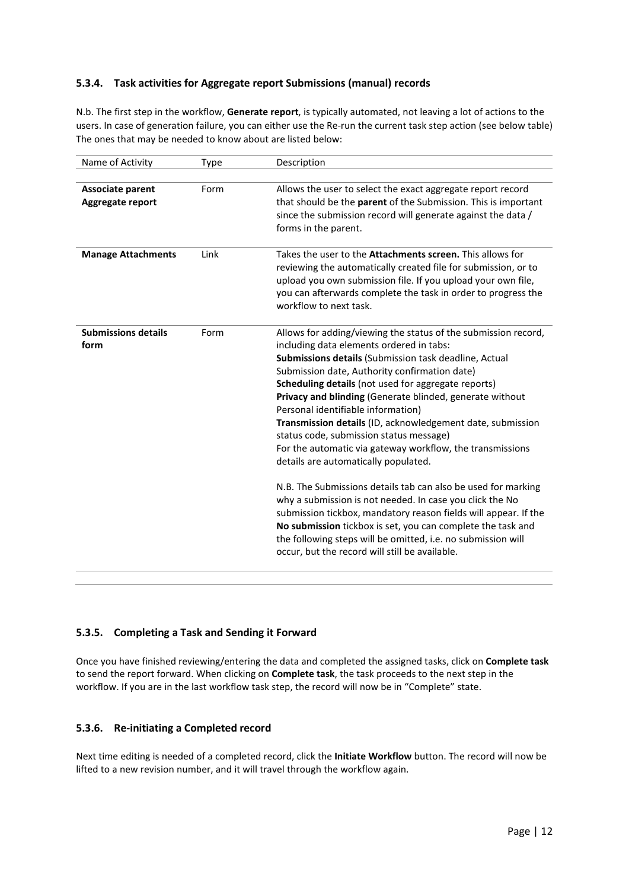#### **5.3.4. Task activities for Aggregate report Submissions (manual) records**

N.b. The first step in the workflow, **Generate report**, is typically automated, not leaving a lot of actions to the users. In case of generation failure, you can either use the Re-run the current task step action (see below table) The ones that may be needed to know about are listed below:

| Name of Activity                     | Type | Description                                                                                                                                                                                                                                                                                                                                                                                                                                                                                                                                                                                                                                                                                                                                                                                                                                                                                                                                                                  |
|--------------------------------------|------|------------------------------------------------------------------------------------------------------------------------------------------------------------------------------------------------------------------------------------------------------------------------------------------------------------------------------------------------------------------------------------------------------------------------------------------------------------------------------------------------------------------------------------------------------------------------------------------------------------------------------------------------------------------------------------------------------------------------------------------------------------------------------------------------------------------------------------------------------------------------------------------------------------------------------------------------------------------------------|
|                                      |      |                                                                                                                                                                                                                                                                                                                                                                                                                                                                                                                                                                                                                                                                                                                                                                                                                                                                                                                                                                              |
| Associate parent<br>Aggregate report | Form | Allows the user to select the exact aggregate report record<br>that should be the parent of the Submission. This is important<br>since the submission record will generate against the data /<br>forms in the parent.                                                                                                                                                                                                                                                                                                                                                                                                                                                                                                                                                                                                                                                                                                                                                        |
| <b>Manage Attachments</b>            | Link | Takes the user to the <b>Attachments screen.</b> This allows for<br>reviewing the automatically created file for submission, or to<br>upload you own submission file. If you upload your own file,<br>you can afterwards complete the task in order to progress the<br>workflow to next task.                                                                                                                                                                                                                                                                                                                                                                                                                                                                                                                                                                                                                                                                                |
| <b>Submissions details</b><br>form   | Form | Allows for adding/viewing the status of the submission record,<br>including data elements ordered in tabs:<br>Submissions details (Submission task deadline, Actual<br>Submission date, Authority confirmation date)<br>Scheduling details (not used for aggregate reports)<br>Privacy and blinding (Generate blinded, generate without<br>Personal identifiable information)<br>Transmission details (ID, acknowledgement date, submission<br>status code, submission status message)<br>For the automatic via gateway workflow, the transmissions<br>details are automatically populated.<br>N.B. The Submissions details tab can also be used for marking<br>why a submission is not needed. In case you click the No<br>submission tickbox, mandatory reason fields will appear. If the<br>No submission tickbox is set, you can complete the task and<br>the following steps will be omitted, i.e. no submission will<br>occur, but the record will still be available. |

#### **5.3.5. Completing a Task and Sending it Forward**

Once you have finished reviewing/entering the data and completed the assigned tasks, click on **Complete task** to send the report forward. When clicking on **Complete task**, the task proceeds to the next step in the workflow. If you are in the last workflow task step, the record will now be in "Complete" state.

#### **5.3.6. Re-initiating a Completed record**

Next time editing is needed of a completed record, click the **Initiate Workflow** button. The record will now be lifted to a new revision number, and it will travel through the workflow again.